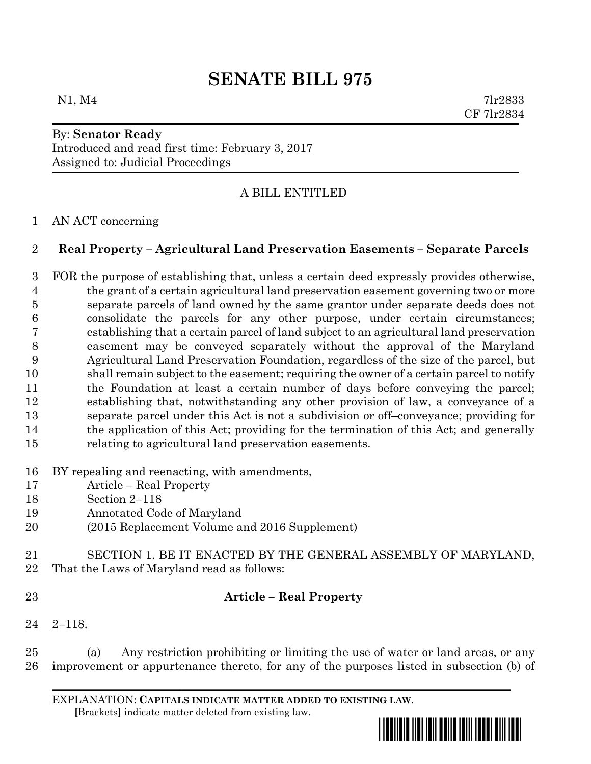# **SENATE BILL 975**

 $N1, M4$  7lr2833 CF 7lr2834

#### By: **Senator Ready** Introduced and read first time: February 3, 2017 Assigned to: Judicial Proceedings

## A BILL ENTITLED

#### AN ACT concerning

#### **Real Property – Agricultural Land Preservation Easements – Separate Parcels**

 FOR the purpose of establishing that, unless a certain deed expressly provides otherwise, the grant of a certain agricultural land preservation easement governing two or more separate parcels of land owned by the same grantor under separate deeds does not consolidate the parcels for any other purpose, under certain circumstances; establishing that a certain parcel of land subject to an agricultural land preservation easement may be conveyed separately without the approval of the Maryland Agricultural Land Preservation Foundation, regardless of the size of the parcel, but shall remain subject to the easement; requiring the owner of a certain parcel to notify the Foundation at least a certain number of days before conveying the parcel; establishing that, notwithstanding any other provision of law, a conveyance of a separate parcel under this Act is not a subdivision or off–conveyance; providing for the application of this Act; providing for the termination of this Act; and generally relating to agricultural land preservation easements.

#### BY repealing and reenacting, with amendments,

- Article Real Property
- Section 2–118
- Annotated Code of Maryland
- (2015 Replacement Volume and 2016 Supplement)
- SECTION 1. BE IT ENACTED BY THE GENERAL ASSEMBLY OF MARYLAND, That the Laws of Maryland read as follows:
- 

### **Article – Real Property**

2–118.

 (a) Any restriction prohibiting or limiting the use of water or land areas, or any improvement or appurtenance thereto, for any of the purposes listed in subsection (b) of

EXPLANATION: **CAPITALS INDICATE MATTER ADDED TO EXISTING LAW**.  **[**Brackets**]** indicate matter deleted from existing law.

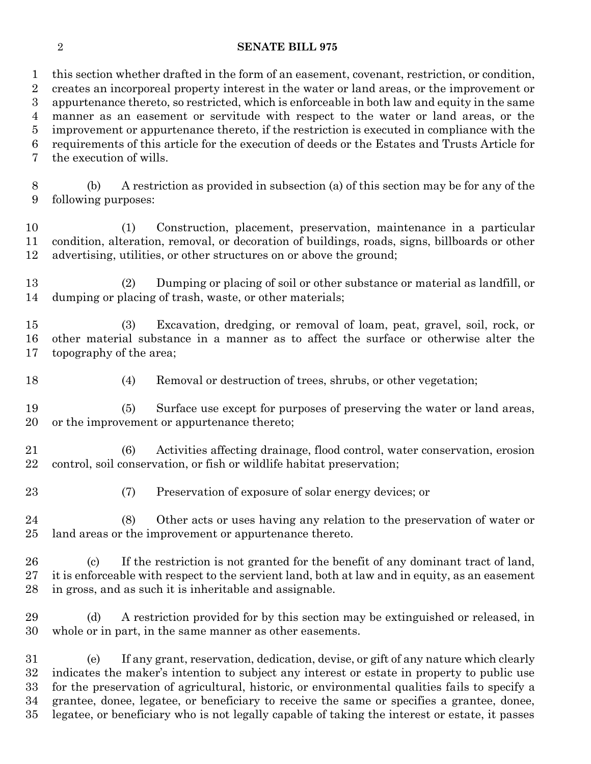#### **SENATE BILL 975**

 this section whether drafted in the form of an easement, covenant, restriction, or condition, creates an incorporeal property interest in the water or land areas, or the improvement or appurtenance thereto, so restricted, which is enforceable in both law and equity in the same manner as an easement or servitude with respect to the water or land areas, or the improvement or appurtenance thereto, if the restriction is executed in compliance with the requirements of this article for the execution of deeds or the Estates and Trusts Article for the execution of wills.

 (b) A restriction as provided in subsection (a) of this section may be for any of the following purposes:

 (1) Construction, placement, preservation, maintenance in a particular condition, alteration, removal, or decoration of buildings, roads, signs, billboards or other advertising, utilities, or other structures on or above the ground;

 (2) Dumping or placing of soil or other substance or material as landfill, or dumping or placing of trash, waste, or other materials;

 (3) Excavation, dredging, or removal of loam, peat, gravel, soil, rock, or other material substance in a manner as to affect the surface or otherwise alter the topography of the area;

(4) Removal or destruction of trees, shrubs, or other vegetation;

 (5) Surface use except for purposes of preserving the water or land areas, or the improvement or appurtenance thereto;

 (6) Activities affecting drainage, flood control, water conservation, erosion control, soil conservation, or fish or wildlife habitat preservation;

(7) Preservation of exposure of solar energy devices; or

 (8) Other acts or uses having any relation to the preservation of water or land areas or the improvement or appurtenance thereto.

 (c) If the restriction is not granted for the benefit of any dominant tract of land, it is enforceable with respect to the servient land, both at law and in equity, as an easement in gross, and as such it is inheritable and assignable.

 (d) A restriction provided for by this section may be extinguished or released, in whole or in part, in the same manner as other easements.

 (e) If any grant, reservation, dedication, devise, or gift of any nature which clearly indicates the maker's intention to subject any interest or estate in property to public use for the preservation of agricultural, historic, or environmental qualities fails to specify a grantee, donee, legatee, or beneficiary to receive the same or specifies a grantee, donee, legatee, or beneficiary who is not legally capable of taking the interest or estate, it passes